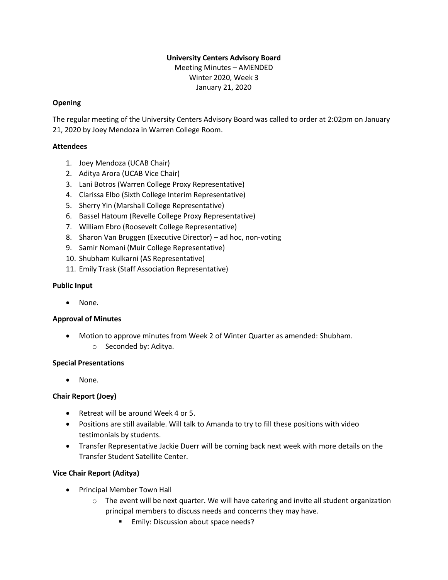# **University Centers Advisory Board**

Meeting Minutes – AMENDED Winter 2020, Week 3 January 21, 2020

# **Opening**

The regular meeting of the University Centers Advisory Board was called to order at 2:02pm on January 21, 2020 by Joey Mendoza in Warren College Room.

## **Attendees**

- 1. Joey Mendoza (UCAB Chair)
- 2. Aditya Arora (UCAB Vice Chair)
- 3. Lani Botros (Warren College Proxy Representative)
- 4. Clarissa Elbo (Sixth College Interim Representative)
- 5. Sherry Yin (Marshall College Representative)
- 6. Bassel Hatoum (Revelle College Proxy Representative)
- 7. William Ebro (Roosevelt College Representative)
- 8. Sharon Van Bruggen (Executive Director) ad hoc, non-voting
- 9. Samir Nomani (Muir College Representative)
- 10. Shubham Kulkarni (AS Representative)
- 11. Emily Trask (Staff Association Representative)

#### **Public Input**

• None.

#### **Approval of Minutes**

- Motion to approve minutes from Week 2 of Winter Quarter as amended: Shubham.
	- o Seconded by: Aditya.

#### **Special Presentations**

• None.

# **Chair Report (Joey)**

- Retreat will be around Week 4 or 5.
- Positions are still available. Will talk to Amanda to try to fill these positions with video testimonials by students.
- Transfer Representative Jackie Duerr will be coming back next week with more details on the Transfer Student Satellite Center.

# **Vice Chair Report (Aditya)**

- Principal Member Town Hall
	- $\circ$  The event will be next quarter. We will have catering and invite all student organization principal members to discuss needs and concerns they may have.
		- Emily: Discussion about space needs?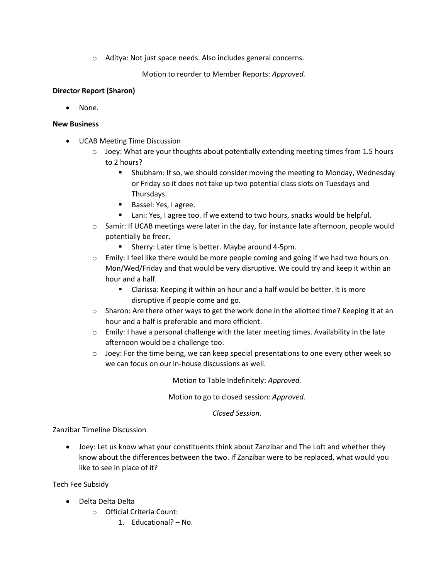o Aditya: Not just space needs. Also includes general concerns.

Motion to reorder to Member Reports: *Approved.*

# **Director Report (Sharon)**

• None.

## **New Business**

- UCAB Meeting Time Discussion
	- $\circ$  Joey: What are your thoughts about potentially extending meeting times from 1.5 hours to 2 hours?
		- **E** Shubham: If so, we should consider moving the meeting to Monday, Wednesday or Friday so it does not take up two potential class slots on Tuesdays and Thursdays.
		- Bassel: Yes, I agree.
		- Lani: Yes, I agree too. If we extend to two hours, snacks would be helpful.
	- o Samir: If UCAB meetings were later in the day, for instance late afternoon, people would potentially be freer.
		- Sherry: Later time is better. Maybe around 4-5pm.
	- $\circ$  Emily: I feel like there would be more people coming and going if we had two hours on Mon/Wed/Friday and that would be very disruptive. We could try and keep it within an hour and a half.
		- Clarissa: Keeping it within an hour and a half would be better. It is more disruptive if people come and go.
	- $\circ$  Sharon: Are there other ways to get the work done in the allotted time? Keeping it at an hour and a half is preferable and more efficient.
	- $\circ$  Emily: I have a personal challenge with the later meeting times. Availability in the late afternoon would be a challenge too.
	- $\circ$  Joey: For the time being, we can keep special presentations to one every other week so we can focus on our in-house discussions as well.

Motion to Table Indefinitely: *Approved.*

Motion to go to closed session: *Approved.*

*Closed Session.*

Zanzibar Timeline Discussion

• Joey: Let us know what your constituents think about Zanzibar and The Loft and whether they know about the differences between the two. If Zanzibar were to be replaced, what would you like to see in place of it?

Tech Fee Subsidy

- Delta Delta Delta
	- o Official Criteria Count:
		- 1. Educational? No.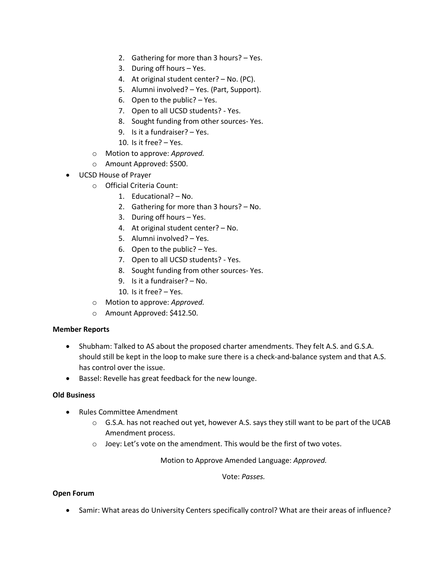- 2. Gathering for more than 3 hours? Yes.
- 3. During off hours Yes.
- 4. At original student center? No. (PC).
- 5. Alumni involved? Yes. (Part, Support).
- 6. Open to the public? Yes.
- 7. Open to all UCSD students? Yes.
- 8. Sought funding from other sources- Yes.
- 9. Is it a fundraiser? Yes.
- 10. Is it free? Yes.
- o Motion to approve: *Approved.*
- o Amount Approved: \$500.
- UCSD House of Prayer
	- o Official Criteria Count:
		- 1. Educational? No.
		- 2. Gathering for more than 3 hours? No.
		- 3. During off hours Yes.
		- 4. At original student center? No.
		- 5. Alumni involved? Yes.
		- 6. Open to the public? Yes.
		- 7. Open to all UCSD students? Yes.
		- 8. Sought funding from other sources- Yes.
		- 9. Is it a fundraiser? No.
		- 10. Is it free? Yes.
	- o Motion to approve: *Approved.*
	- o Amount Approved: \$412.50.

#### **Member Reports**

- Shubham: Talked to AS about the proposed charter amendments. They felt A.S. and G.S.A. should still be kept in the loop to make sure there is a check-and-balance system and that A.S. has control over the issue.
- Bassel: Revelle has great feedback for the new lounge.

## **Old Business**

- Rules Committee Amendment
	- $\circ$  G.S.A. has not reached out yet, however A.S. says they still want to be part of the UCAB Amendment process.
	- o Joey: Let's vote on the amendment. This would be the first of two votes.

Motion to Approve Amended Language: *Approved.*

Vote: *Passes.*

#### **Open Forum**

• Samir: What areas do University Centers specifically control? What are their areas of influence?